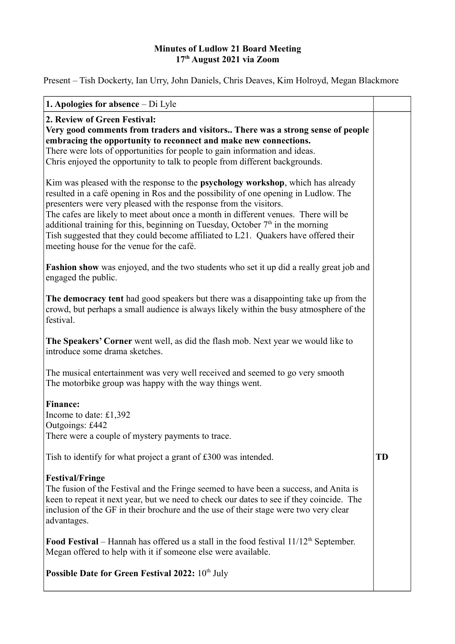## **Minutes of Ludlow 21 Board Meeting 17th August 2021 via Zoom**

Present – Tish Dockerty, Ian Urry, John Daniels, Chris Deaves, Kim Holroyd, Megan Blackmore

| <b>1. Apologies for absence</b> $-$ Di Lyle                                                                                                                                                                                                                                                                                                                                                                                                                                                                                                                       |           |
|-------------------------------------------------------------------------------------------------------------------------------------------------------------------------------------------------------------------------------------------------------------------------------------------------------------------------------------------------------------------------------------------------------------------------------------------------------------------------------------------------------------------------------------------------------------------|-----------|
| 2. Review of Green Festival:<br>Very good comments from traders and visitors There was a strong sense of people<br>embracing the opportunity to reconnect and make new connections.<br>There were lots of opportunities for people to gain information and ideas.<br>Chris enjoyed the opportunity to talk to people from different backgrounds.                                                                                                                                                                                                                  |           |
| Kim was pleased with the response to the <b>psychology workshop</b> , which has already<br>resulted in a café opening in Ros and the possibility of one opening in Ludlow. The<br>presenters were very pleased with the response from the visitors.<br>The cafes are likely to meet about once a month in different venues. There will be<br>additional training for this, beginning on Tuesday, October $7th$ in the morning<br>Tish suggested that they could become affiliated to L21. Quakers have offered their<br>meeting house for the venue for the café. |           |
| <b>Fashion show</b> was enjoyed, and the two students who set it up did a really great job and<br>engaged the public.                                                                                                                                                                                                                                                                                                                                                                                                                                             |           |
| The democracy tent had good speakers but there was a disappointing take up from the<br>crowd, but perhaps a small audience is always likely within the busy atmosphere of the<br>festival.                                                                                                                                                                                                                                                                                                                                                                        |           |
| The Speakers' Corner went well, as did the flash mob. Next year we would like to<br>introduce some drama sketches.                                                                                                                                                                                                                                                                                                                                                                                                                                                |           |
| The musical entertainment was very well received and seemed to go very smooth<br>The motorbike group was happy with the way things went.                                                                                                                                                                                                                                                                                                                                                                                                                          |           |
| <b>Finance:</b><br>Income to date: £1,392<br>Outgoings: £442<br>There were a couple of mystery payments to trace.                                                                                                                                                                                                                                                                                                                                                                                                                                                 |           |
| Tish to identify for what project a grant of £300 was intended.                                                                                                                                                                                                                                                                                                                                                                                                                                                                                                   | <b>TD</b> |
| <b>Festival/Fringe</b><br>The fusion of the Festival and the Fringe seemed to have been a success, and Anita is<br>keen to repeat it next year, but we need to check our dates to see if they coincide. The<br>inclusion of the GF in their brochure and the use of their stage were two very clear<br>advantages.                                                                                                                                                                                                                                                |           |
| <b>Food Festival</b> – Hannah has offered us a stall in the food festival $11/12th$ September.<br>Megan offered to help with it if someone else were available.                                                                                                                                                                                                                                                                                                                                                                                                   |           |
| <b>Possible Date for Green Festival 2022:</b> 10 <sup>th</sup> July                                                                                                                                                                                                                                                                                                                                                                                                                                                                                               |           |